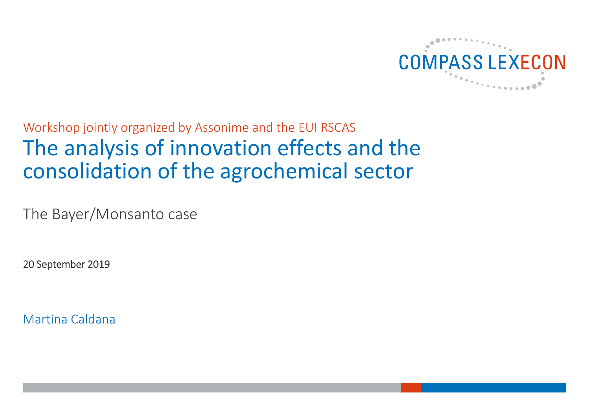

# Workshop jointly organized by Assonime and the EUI RSCAS The analysis of innovation effects and the consolidation of the agrochemical sector

The Bayer/Monsanto case

20 September 2019

Martina Caldana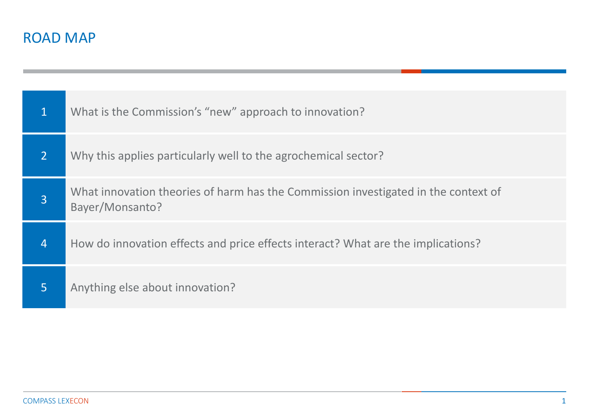| $\mathbf 1$    | What is the Commission's "new" approach to innovation?                                                |
|----------------|-------------------------------------------------------------------------------------------------------|
| $\overline{2}$ | Why this applies particularly well to the agrochemical sector?                                        |
| $\overline{3}$ | What innovation theories of harm has the Commission investigated in the context of<br>Bayer/Monsanto? |
| $\overline{4}$ | How do innovation effects and price effects interact? What are the implications?                      |
| $\overline{5}$ | Anything else about innovation?                                                                       |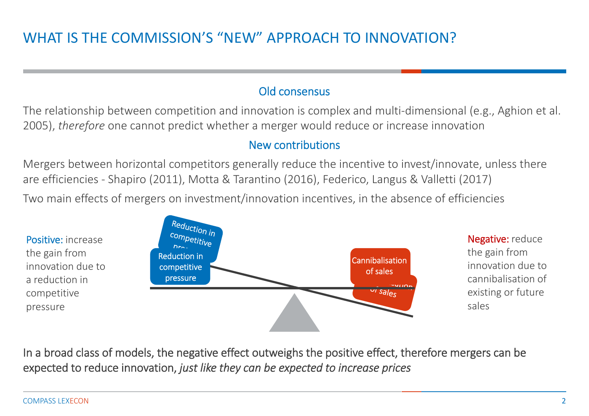#### Old consensus

The relationship between competition and innovation is complex and multi-dimensional (e.g., Aghion et al. 2005), *therefore* one cannot predict whether a merger would reduce or increase innovation

#### New contributions

Mergers between horizontal competitors generally reduce the incentive to invest/innovate, unless there are efficiencies ‐ Shapiro (2011), Motta & Tarantino (2016), Federico, Langus & Valletti (2017) Two main effects of mergers on investment/innovation incentives, in the absence of efficiencies



In a broad class of models, the negative effect outweighs the positive effect, therefore mergers can be expected to reduce innovation, *just like they can be expected to increase prices*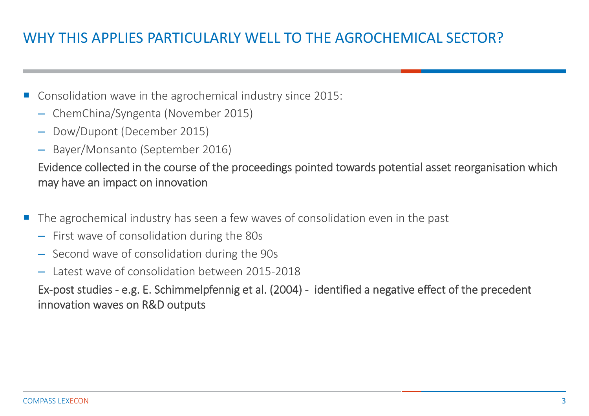# WHY THIS APPLIES PARTICULARLY WELL TO THE AGROCHEMICAL SECTOR?

- Consolidation wave in the agrochemical industry since 2015:
	- ChemChina/Syngenta (November 2015)
	- Dow/Dupont (December 2015)
	- Bayer/Monsanto (September 2016)

Evidence collected in the course of the proceedings pointed towards potential asset reorganisation which may have an impact on innovation

- F. The agrochemical industry has seen a few waves of consolidation even in the past
	- First wave of consolidation during the 80s
	- Second wave of consolidation during the 90s
	- Latest wave of consolidation between 2015‐2018

Ex‐post studies ‐ e.g. E. Schimmelpfennig et al. (2004) ‐ identified a negative effect of the precedent innovation waves on R&D outputs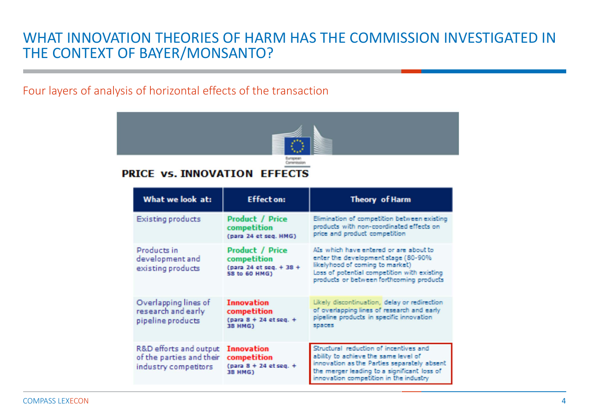### WHAT INNOVATION THEORIES OF HARM HAS THE COMMISSION INVESTIGATED IN THE CONTEXT OF BAYER/MONSANTO?

#### Four layers of analysis of horizontal effects of the transaction



#### **PRICE VS. INNOVATION EFFECTS**

| What we look at:                                                           | <b>Effect on:</b>                                                                 | <b>Theory</b> of Harm                                                                                                                                                                                                  |
|----------------------------------------------------------------------------|-----------------------------------------------------------------------------------|------------------------------------------------------------------------------------------------------------------------------------------------------------------------------------------------------------------------|
| Existing products                                                          | <b>Product / Price</b><br>competition<br>(para 24 et seq. HMG)                    | Elimination of competition between existing<br>products with non-coordinated effects on<br>price and product competition                                                                                               |
| Products in<br>development and<br>existing products                        | <b>Product / Price</b><br>competition<br>(para 24 et seg. + 38 +<br>58 to 60 HMG) | Als which have entered or are about to<br>enter the development stage (80-90%<br>likelyhood of coming to market)<br>Loss of potential competition with existing<br>products or between forthcoming products            |
| Overlapping lines of<br>research and early<br>pipeline products            | <b>Innovation</b><br>competition<br>$para 8 + 24 etseq. +$<br>38 HMG)             | Likely discontinuation, delay or redirection<br>of overlapping lines of research and early<br>pipeline products in specific innovation<br>spaces                                                                       |
| R&D efforts and output<br>of the parties and their<br>industry competitors | <b>Innovation</b><br>competition<br>$para 8 + 24 etseq. +$<br>38 HMG)             | Structural reduction of incentives and<br>ability to achieve the same level of<br>innovation as the Parties separately absent<br>the merger leading to a significant loss of<br>innovation competition in the industry |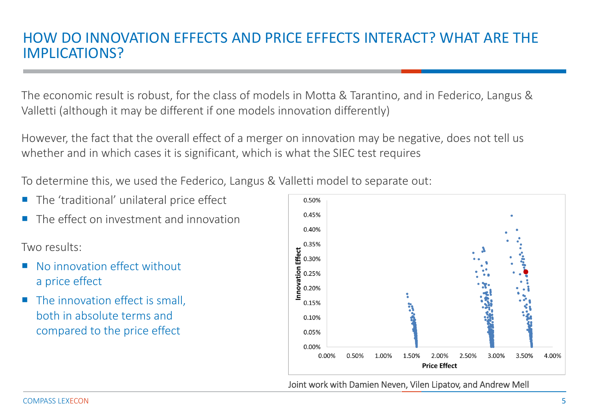## HOW DO INNOVATION EFFECTS AND PRICE EFFECTS INTERACT? WHAT ARE THE IMPLICATIONS?

The economic result is robust, for the class of models in Motta & Tarantino, and in Federico, Langus & Valletti (although it may be different if one models innovation differently)

However, the fact that the overall effect of a merger on innovation may be negative, does not tell us whether and in which cases it is significant, which is what the SIEC test requires

To determine this, we used the Federico, Langus & Valletti model to separate out:

- F. The 'traditional' unilateral price effect
- П The effect on investment and innovation

Two results:

- P. No innovation effect without a price effect
- The innovation effect is small, both in absolute terms and compared to the price effect



Joint work with Damien Neven, Vilen Lipatov, and Andrew Mell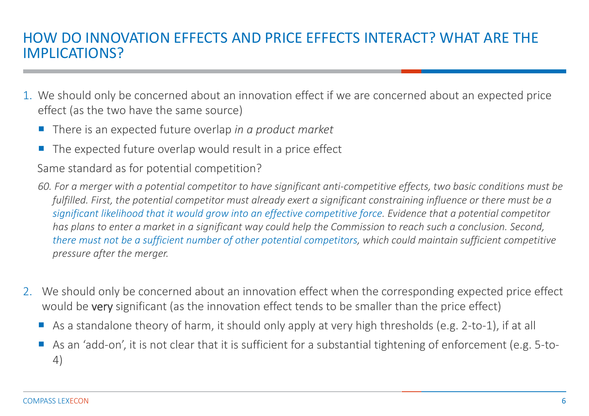## HOW DO INNOVATION EFFECTS AND PRICE EFFECTS INTERACT? WHAT ARE THE IMPLICATIONS?

- 1. We should only be concerned about an innovation effect if we are concerned about an expected price effect (as the two have the same source)
	- There is an expected future overlap *in a product market*
	- The expected future overlap would result in a price effect

Same standard as for potential competition?

*60. For a merger with a potential competitor to have significant anti‐competitive effects, two basic conditions must be fulfilled. First, the potential competitor must already exert a significant constraining influence or there must be a significant likelihood that it would grow into an effective competitive force. Evidence that a potential competitor has plans to enter a market in a significant way could help the Commission to reach such a conclusion. Second, there must not be a sufficient number of other potential competitors, which could maintain sufficient competitive pressure after the merger.*

- 2. We should only be concerned about an innovation effect when the corresponding expected price effect would be very significant (as the innovation effect tends to be smaller than the price effect)
	- As a standalone theory of harm, it should only apply at very high thresholds (e.g. 2-to-1), if at all
	- As an 'add-on', it is not clear that it is sufficient for a substantial tightening of enforcement (e.g. 5-to-4)